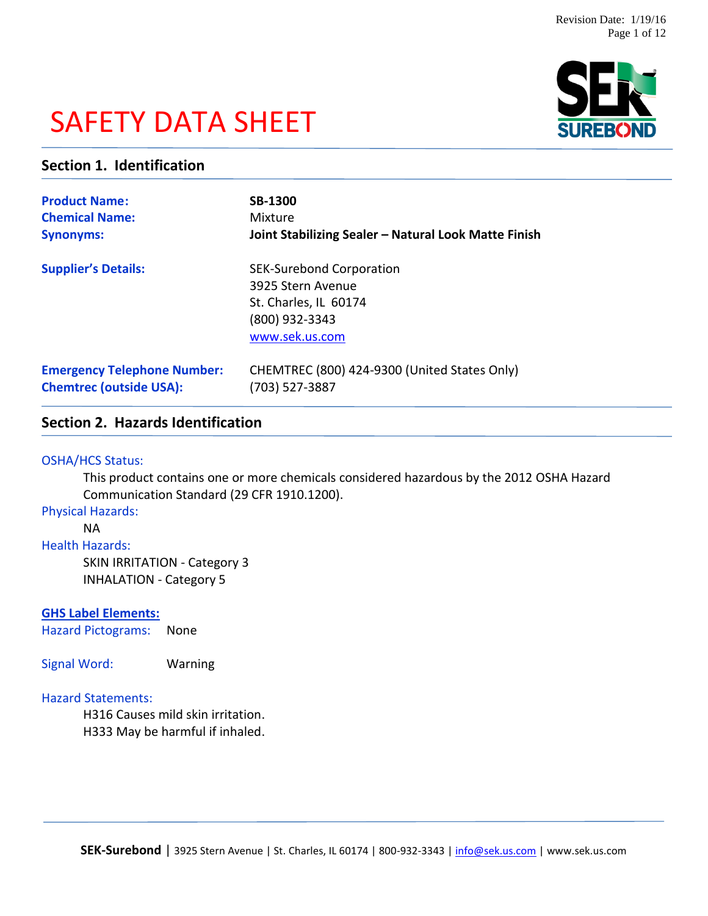# SAFETY DATA SHEET



### **Section 1. Identification**

| <b>Product Name:</b>               | <b>SB-1300</b>                                                                                                    |
|------------------------------------|-------------------------------------------------------------------------------------------------------------------|
| <b>Chemical Name:</b>              | Mixture                                                                                                           |
| <b>Synonyms:</b>                   | Joint Stabilizing Sealer - Natural Look Matte Finish                                                              |
| <b>Supplier's Details:</b>         | <b>SEK-Surebond Corporation</b><br>3925 Stern Avenue<br>St. Charles, IL 60174<br>(800) 932-3343<br>www.sek.us.com |
| <b>Emergency Telephone Number:</b> | CHEMTREC (800) 424-9300 (United States Only)                                                                      |
| <b>Chemtrec (outside USA):</b>     | (703) 527-3887                                                                                                    |

## **Section 2. Hazards Identification**

### OSHA/HCS Status:

This product contains one or more chemicals considered hazardous by the 2012 OSHA Hazard Communication Standard (29 CFR 1910.1200).

Physical Hazards:

### NA

Health Hazards:

SKIN IRRITATION - Category 3 INHALATION - Category 5

### **GHS Label Elements:**

Hazard Pictograms: None

Signal Word: Warning

### Hazard Statements:

H316 Causes mild skin irritation. H333 May be harmful if inhaled.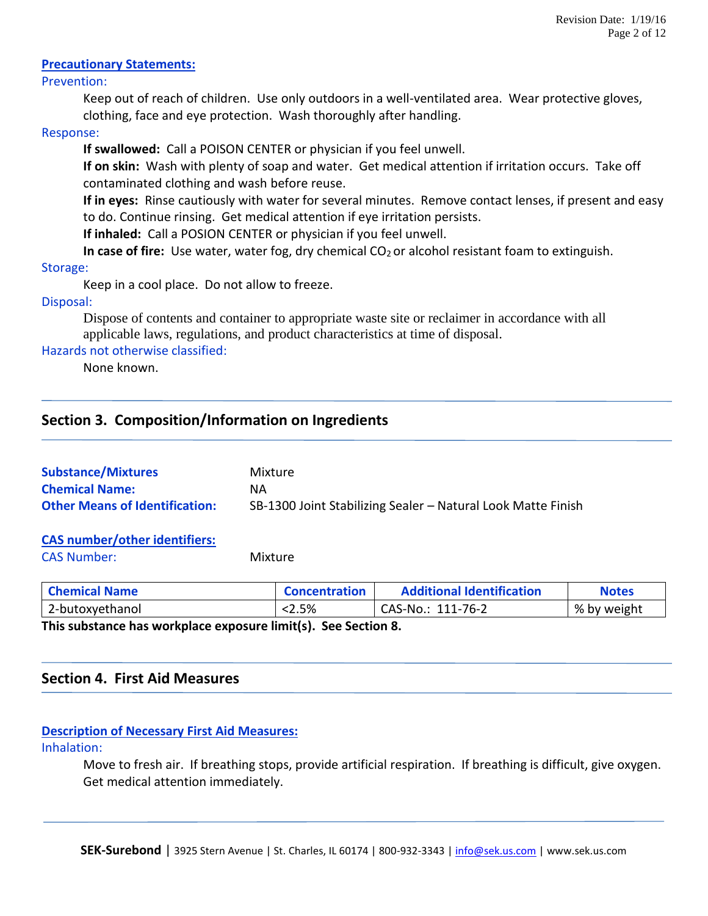### **Precautionary Statements:**

### Prevention:

Keep out of reach of children. Use only outdoors in a well-ventilated area. Wear protective gloves, clothing, face and eye protection. Wash thoroughly after handling.

### Response:

**If swallowed:** Call a POISON CENTER or physician if you feel unwell.

**If on skin:** Wash with plenty of soap and water. Get medical attention if irritation occurs. Take off contaminated clothing and wash before reuse.

**If in eyes:** Rinse cautiously with water for several minutes. Remove contact lenses, if present and easy to do. Continue rinsing. Get medical attention if eye irritation persists.

**If inhaled:** Call a POSION CENTER or physician if you feel unwell.

**In case of fire:** Use water, water fog, dry chemical CO<sub>2</sub> or alcohol resistant foam to extinguish.

### Storage:

Keep in a cool place. Do not allow to freeze.

### Disposal:

Dispose of contents and container to appropriate waste site or reclaimer in accordance with all applicable laws, regulations, and product characteristics at time of disposal.

### Hazards not otherwise classified:

None known.

### **Section 3. Composition/Information on Ingredients**

| <b>Substance/Mixtures</b>             | Mixture                                                      |
|---------------------------------------|--------------------------------------------------------------|
| <b>Chemical Name:</b>                 | NA.                                                          |
| <b>Other Means of Identification:</b> | SB-1300 Joint Stabilizing Sealer – Natural Look Matte Finish |
|                                       |                                                              |

#### **CAS number/other identifiers:** CAS Number: Mixture

| <b>Chemical Name</b>                                        | <b>Concentration</b> | <b>Additional Identification</b> | <b>Notes</b> |
|-------------------------------------------------------------|----------------------|----------------------------------|--------------|
| 2-butoxyethanol                                             | $< 2.5\%$            | CAS-No.: 111-76-2                | % by weight  |
| This substance has weekeless someowe limital. Can Castian O |                      |                                  |              |

**This substance has workplace exposure limit(s). See Section 8.**

### **Section 4. First Aid Measures**

### **Description of Necessary First Aid Measures:**

### Inhalation:

Move to fresh air. If breathing stops, provide artificial respiration. If breathing is difficult, give oxygen. Get medical attention immediately.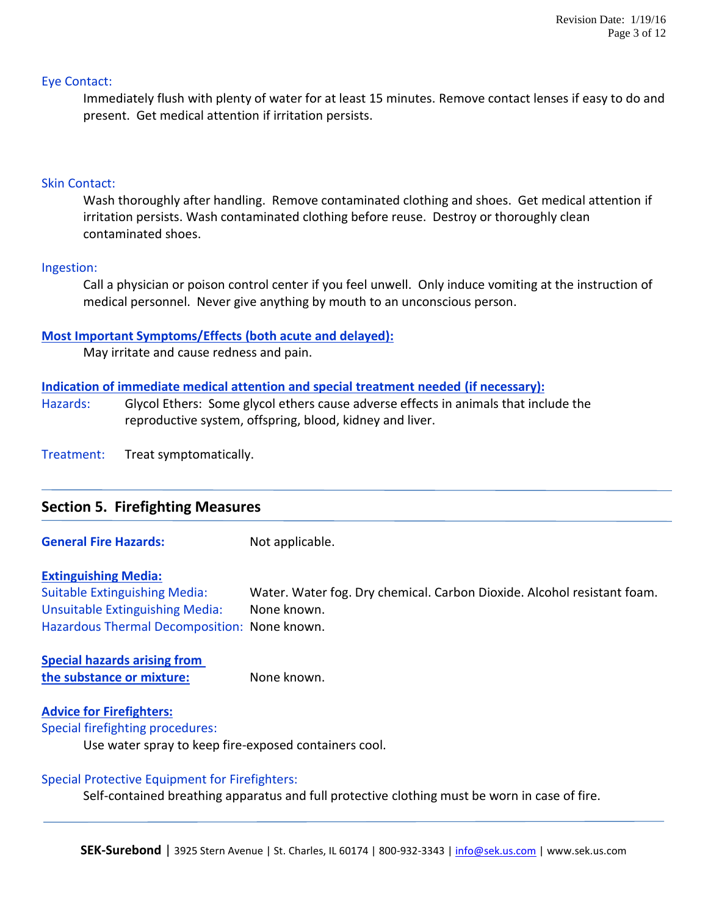### Eye Contact:

Immediately flush with plenty of water for at least 15 minutes. Remove contact lenses if easy to do and present. Get medical attention if irritation persists.

### Skin Contact:

Wash thoroughly after handling. Remove contaminated clothing and shoes. Get medical attention if irritation persists. Wash contaminated clothing before reuse. Destroy or thoroughly clean contaminated shoes.

### Ingestion:

Call a physician or poison control center if you feel unwell. Only induce vomiting at the instruction of medical personnel. Never give anything by mouth to an unconscious person.

### **Most Important Symptoms/Effects (both acute and delayed):**

May irritate and cause redness and pain.

### **Indication of immediate medical attention and special treatment needed (if necessary):**

Hazards: Glycol Ethers: Some glycol ethers cause adverse effects in animals that include the reproductive system, offspring, blood, kidney and liver.

Treatment: Treat symptomatically.

| <b>Section 5. Firefighting Measures</b> |                |  |  |  |  |
|-----------------------------------------|----------------|--|--|--|--|
| Conoral Eiro Hosarder                   | Not applicable |  |  |  |  |

**General Fire Hazards:** Not applicable.

#### **Extinguishing Media:**

Suitable Extinguishing Media: Water. Water fog. Dry chemical. Carbon Dioxide. Alcohol resistant foam. Unsuitable Extinguishing Media: None known. Hazardous Thermal Decomposition: None known.

**Special hazards arising from the substance or mixture:** None known.

### **Advice for Firefighters:**

Special firefighting procedures:

Use water spray to keep fire-exposed containers cool.

#### Special Protective Equipment for Firefighters:

Self-contained breathing apparatus and full protective clothing must be worn in case of fire.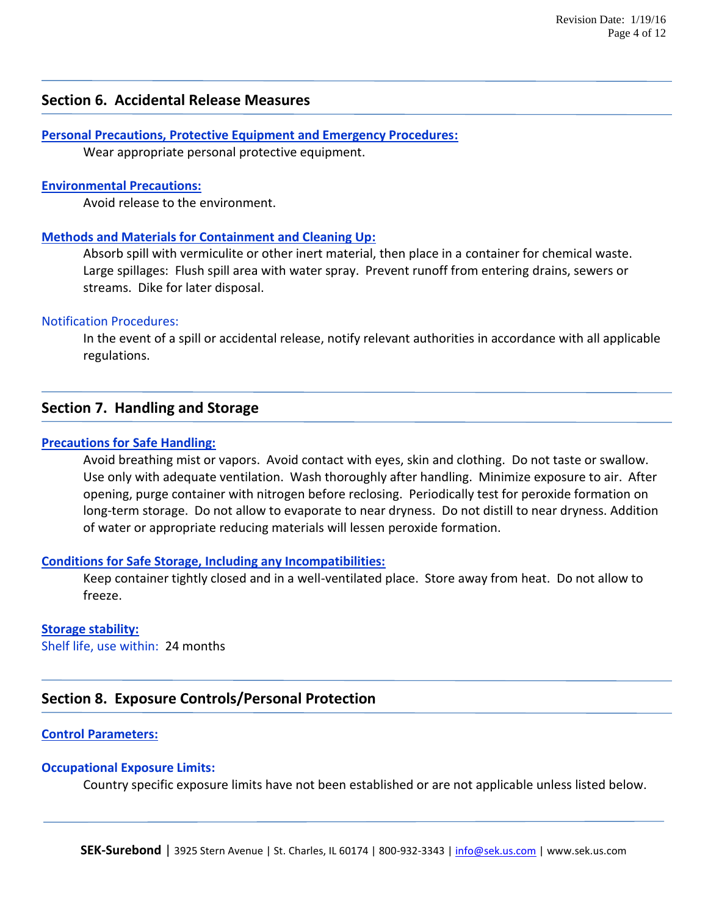### **Section 6. Accidental Release Measures**

**Personal Precautions, Protective Equipment and Emergency Procedures:** Wear appropriate personal protective equipment.

#### **Environmental Precautions:**

Avoid release to the environment.

#### **Methods and Materials for Containment and Cleaning Up:**

Absorb spill with vermiculite or other inert material, then place in a container for chemical waste. Large spillages: Flush spill area with water spray. Prevent runoff from entering drains, sewers or streams. Dike for later disposal.

#### Notification Procedures:

In the event of a spill or accidental release, notify relevant authorities in accordance with all applicable regulations.

### **Section 7. Handling and Storage**

### **Precautions for Safe Handling:**

Avoid breathing mist or vapors. Avoid contact with eyes, skin and clothing. Do not taste or swallow. Use only with adequate ventilation. Wash thoroughly after handling. Minimize exposure to air. After opening, purge container with nitrogen before reclosing. Periodically test for peroxide formation on long-term storage. Do not allow to evaporate to near dryness. Do not distill to near dryness. Addition of water or appropriate reducing materials will lessen peroxide formation.

#### **Conditions for Safe Storage, Including any Incompatibilities:**

Keep container tightly closed and in a well-ventilated place. Store away from heat. Do not allow to freeze.

#### **Storage stability:**

Shelf life, use within: 24 months

### **Section 8. Exposure Controls/Personal Protection**

### **Control Parameters:**

#### **Occupational Exposure Limits:**

Country specific exposure limits have not been established or are not applicable unless listed below.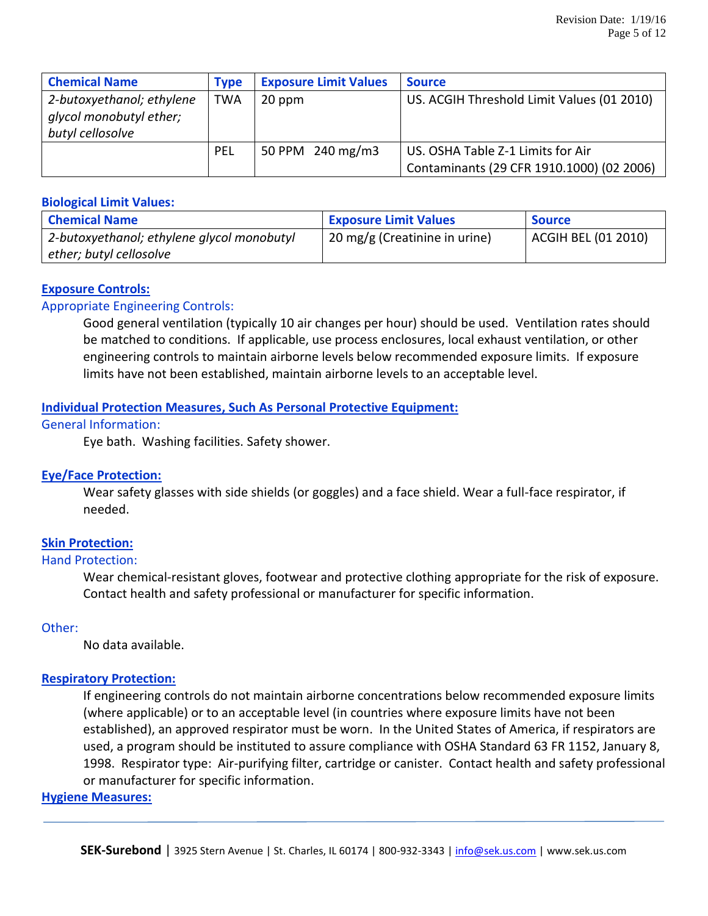| <b>Chemical Name</b>      | <b>Type</b> | <b>Exposure Limit Values</b> | <b>Source</b>                              |
|---------------------------|-------------|------------------------------|--------------------------------------------|
| 2-butoxyethanol; ethylene | <b>TWA</b>  | 20 ppm                       | US. ACGIH Threshold Limit Values (01 2010) |
| glycol monobutyl ether;   |             |                              |                                            |
| butyl cellosolve          |             |                              |                                            |
|                           | <b>PEL</b>  | 50 PPM 240 mg/m3             | US. OSHA Table Z-1 Limits for Air          |
|                           |             |                              | Contaminants (29 CFR 1910.1000) (02 2006)  |

### **Biological Limit Values:**

| <b>Chemical Name</b>                       | <b>Exposure Limit Values</b>               | <b>Source</b>       |
|--------------------------------------------|--------------------------------------------|---------------------|
| 2-butoxyethanol; ethylene glycol monobutyl | <sup>1</sup> 20 mg/g (Creatinine in urine) | ACGIH BEL (01 2010) |
| ether; butyl cellosolve                    |                                            |                     |

### **Exposure Controls:**

### Appropriate Engineering Controls:

Good general ventilation (typically 10 air changes per hour) should be used. Ventilation rates should be matched to conditions. If applicable, use process enclosures, local exhaust ventilation, or other engineering controls to maintain airborne levels below recommended exposure limits. If exposure limits have not been established, maintain airborne levels to an acceptable level.

### **Individual Protection Measures, Such As Personal Protective Equipment:**

### General Information:

Eye bath. Washing facilities. Safety shower.

### **Eye/Face Protection:**

Wear safety glasses with side shields (or goggles) and a face shield. Wear a full-face respirator, if needed.

### **Skin Protection:**

### Hand Protection:

Wear chemical-resistant gloves, footwear and protective clothing appropriate for the risk of exposure. Contact health and safety professional or manufacturer for specific information.

### Other:

No data available.

### **Respiratory Protection:**

If engineering controls do not maintain airborne concentrations below recommended exposure limits (where applicable) or to an acceptable level (in countries where exposure limits have not been established), an approved respirator must be worn. In the United States of America, if respirators are used, a program should be instituted to assure compliance with OSHA Standard 63 FR 1152, January 8, 1998. Respirator type: Air-purifying filter, cartridge or canister. Contact health and safety professional or manufacturer for specific information.

#### **Hygiene Measures:**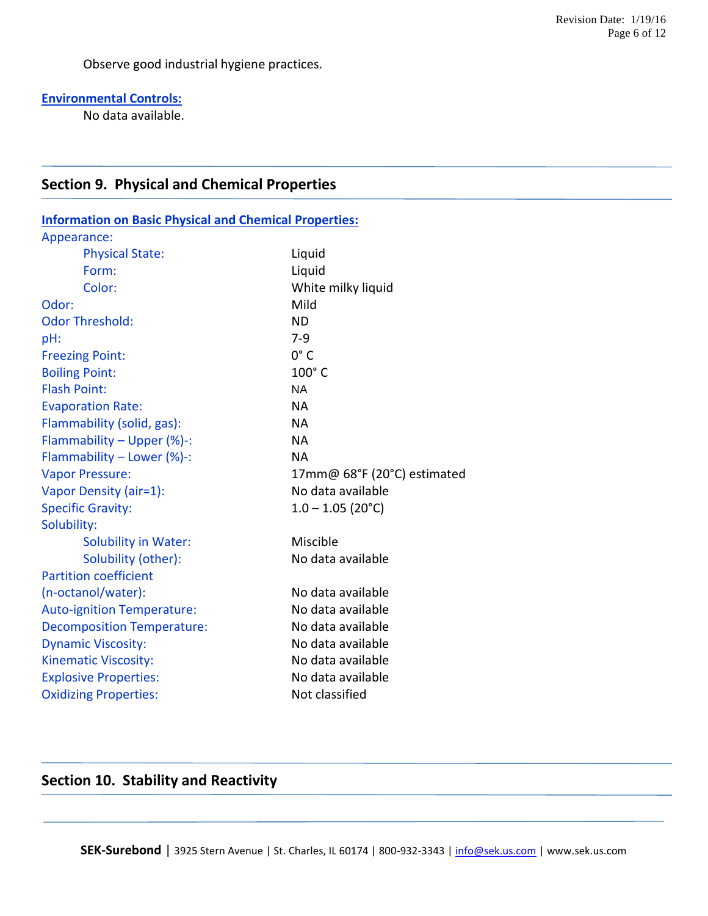Observe good industrial hygiene practices.

### **Environmental Controls:**

No data available.

### **Section 9. Physical and Chemical Properties**

| <b>Information on Basic Physical and Chemical Properties:</b> |                             |  |
|---------------------------------------------------------------|-----------------------------|--|
| Appearance:                                                   |                             |  |
| <b>Physical State:</b>                                        | Liquid                      |  |
| Form:                                                         | Liquid                      |  |
| Color:                                                        | White milky liquid          |  |
| Odor:                                                         | Mild                        |  |
| <b>Odor Threshold:</b>                                        | <b>ND</b>                   |  |
| pH:                                                           | $7-9$                       |  |
| <b>Freezing Point:</b>                                        | $0^\circ C$                 |  |
| <b>Boiling Point:</b>                                         | $100^\circ$ C               |  |
| <b>Flash Point:</b>                                           | <b>NA</b>                   |  |
| <b>Evaporation Rate:</b>                                      | <b>NA</b>                   |  |
| Flammability (solid, gas):                                    | <b>NA</b>                   |  |
| Flammability - Upper (%)-:                                    | <b>NA</b>                   |  |
| Flammability - Lower (%)-:                                    | <b>NA</b>                   |  |
| <b>Vapor Pressure:</b>                                        | 17mm@ 68°F (20°C) estimated |  |
| Vapor Density (air=1):                                        | No data available           |  |
| <b>Specific Gravity:</b>                                      | $1.0 - 1.05$ (20°C)         |  |
| Solubility:                                                   |                             |  |
| <b>Solubility in Water:</b>                                   | Miscible                    |  |
| Solubility (other):                                           | No data available           |  |
| <b>Partition coefficient</b>                                  |                             |  |
| (n-octanol/water):                                            | No data available           |  |
| <b>Auto-ignition Temperature:</b>                             | No data available           |  |
| <b>Decomposition Temperature:</b>                             | No data available           |  |
| <b>Dynamic Viscosity:</b>                                     | No data available           |  |
| <b>Kinematic Viscosity:</b>                                   | No data available           |  |
| <b>Explosive Properties:</b>                                  | No data available           |  |
| <b>Oxidizing Properties:</b>                                  | Not classified              |  |

### **Section 10. Stability and Reactivity**

SEK-Surebond | 3925 Stern Avenue | St. Charles, IL 60174 | 800-932-3343 | [info@sek.us.com](mailto:info@sek.us.com) | www.sek.us.com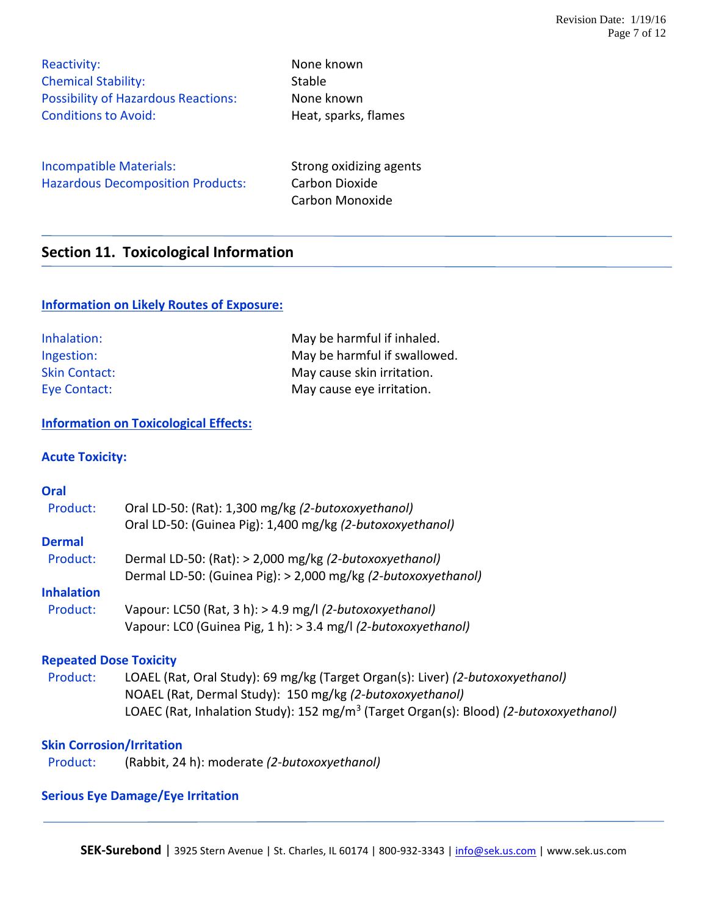Reactivity: None known Chemical Stability: Stable Possibility of Hazardous Reactions: None known Conditions to Avoid: The Meat, sparks, flames

Incompatible Materials: Strong oxidizing agents Hazardous Decomposition Products: Carbon Dioxide

Carbon Monoxide

### **Section 11. Toxicological Information**

### **Information on Likely Routes of Exposure:**

| Inhalation:          | May be harmful if inhaled.   |
|----------------------|------------------------------|
| Ingestion:           | May be harmful if swallowed. |
| <b>Skin Contact:</b> | May cause skin irritation.   |
| Eye Contact:         | May cause eye irritation.    |

### **Information on Toxicological Effects:**

### **Acute Toxicity:**

### **Oral** Product: Oral LD-50: (Rat): 1,300 mg/kg *(2-butoxoxyethanol)* Oral LD-50: (Guinea Pig): 1,400 mg/kg *(2-butoxoxyethanol)* **Dermal** Product: Dermal LD-50: (Rat): > 2,000 mg/kg *(2-butoxoxyethanol)* Dermal LD-50: (Guinea Pig): > 2,000 mg/kg *(2-butoxoxyethanol)* **Inhalation** Product: Vapour: LC50 (Rat, 3 h): > 4.9 mg/l *(2-butoxoxyethanol)* Vapour: LC0 (Guinea Pig, 1 h): > 3.4 mg/l *(2-butoxoxyethanol)*

### **Repeated Dose Toxicity**

 Product: LOAEL (Rat, Oral Study): 69 mg/kg (Target Organ(s): Liver) *(2-butoxoxyethanol)* NOAEL (Rat, Dermal Study): 150 mg/kg *(2-butoxoxyethanol)* LOAEC (Rat, Inhalation Study): 152 mg/m<sup>3</sup> (Target Organ(s): Blood) *(2-butoxoxyethanol)*

### **Skin Corrosion/Irritation**

Product: (Rabbit, 24 h): moderate *(2-butoxoxyethanol)*

### **Serious Eye Damage/Eye Irritation**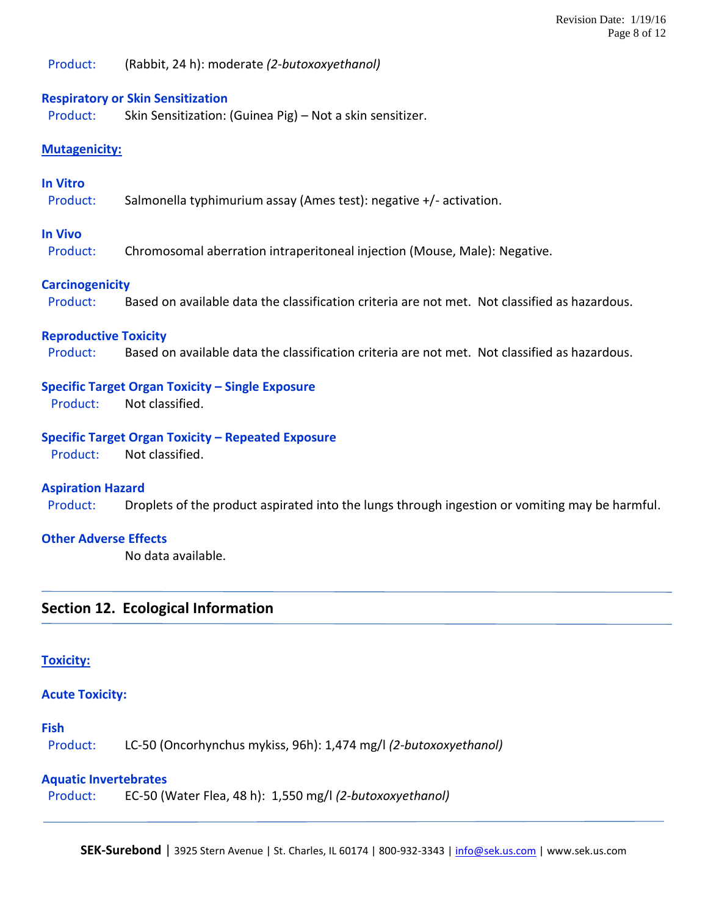Product: (Rabbit, 24 h): moderate *(2-butoxoxyethanol)*

### **Respiratory or Skin Sensitization**

Product: Skin Sensitization: (Guinea Pig) – Not a skin sensitizer.

### **Mutagenicity:**

### **In Vitro**

Product: Salmonella typhimurium assay (Ames test): negative +/- activation.

### **In Vivo**

Product: Chromosomal aberration intraperitoneal injection (Mouse, Male): Negative.

### **Carcinogenicity**

Product: Based on available data the classification criteria are not met. Not classified as hazardous.

### **Reproductive Toxicity**

Product: Based on available data the classification criteria are not met. Not classified as hazardous.

### **Specific Target Organ Toxicity – Single Exposure**

Product: Not classified.

### **Specific Target Organ Toxicity – Repeated Exposure**

Product: Not classified.

#### **Aspiration Hazard**

Product: Droplets of the product aspirated into the lungs through ingestion or vomiting may be harmful.

### **Other Adverse Effects**

No data available.

### **Section 12. Ecological Information**

### **Toxicity:**

#### **Acute Toxicity:**

### **Fish**

Product: LC-50 (Oncorhynchus mykiss, 96h): 1,474 mg/l *(2-butoxoxyethanol)*

#### **Aquatic Invertebrates**

Product: EC-50 (Water Flea, 48 h): 1,550 mg/l *(2-butoxoxyethanol)*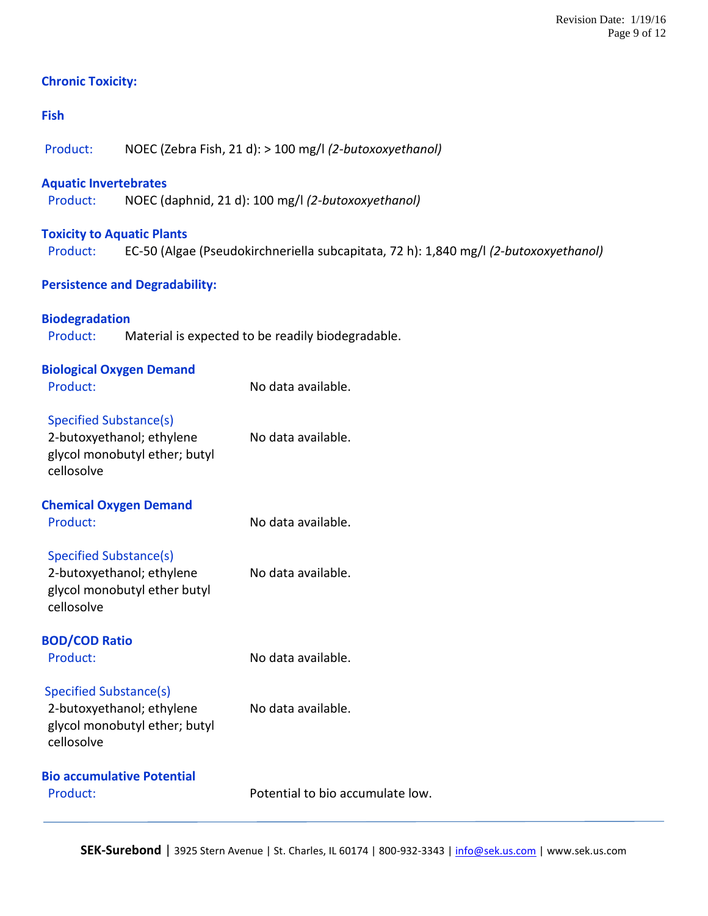### **Chronic Toxicity:**

### **Fish**

Product: NOEC (Zebra Fish, 21 d): > 100 mg/l *(2-butoxoxyethanol)*

### **Aquatic Invertebrates**

Product: NOEC (daphnid, 21 d): 100 mg/l *(2-butoxoxyethanol)*

### **Toxicity to Aquatic Plants**

Product: EC-50 (Algae (Pseudokirchneriella subcapitata, 72 h): 1,840 mg/l *(2-butoxoxyethanol)*

### **Persistence and Degradability:**

**Biodegradation** Product: Material is expected to be readily biodegradable.

| <b>Biological Oxygen Demand</b><br>Product:                                                        | No data available.               |
|----------------------------------------------------------------------------------------------------|----------------------------------|
| Specified Substance(s)<br>2-butoxyethanol; ethylene<br>glycol monobutyl ether; butyl<br>cellosolve | No data available.               |
| <b>Chemical Oxygen Demand</b><br>Product:                                                          | No data available.               |
| Specified Substance(s)<br>2-butoxyethanol; ethylene<br>glycol monobutyl ether butyl<br>cellosolve  | No data available.               |
| <b>BOD/COD Ratio</b><br>Product:                                                                   | No data available.               |
| Specified Substance(s)<br>2-butoxyethanol; ethylene<br>glycol monobutyl ether; butyl<br>cellosolve | No data available.               |
| <b>Bio accumulative Potential</b><br>Product:                                                      | Potential to bio accumulate low. |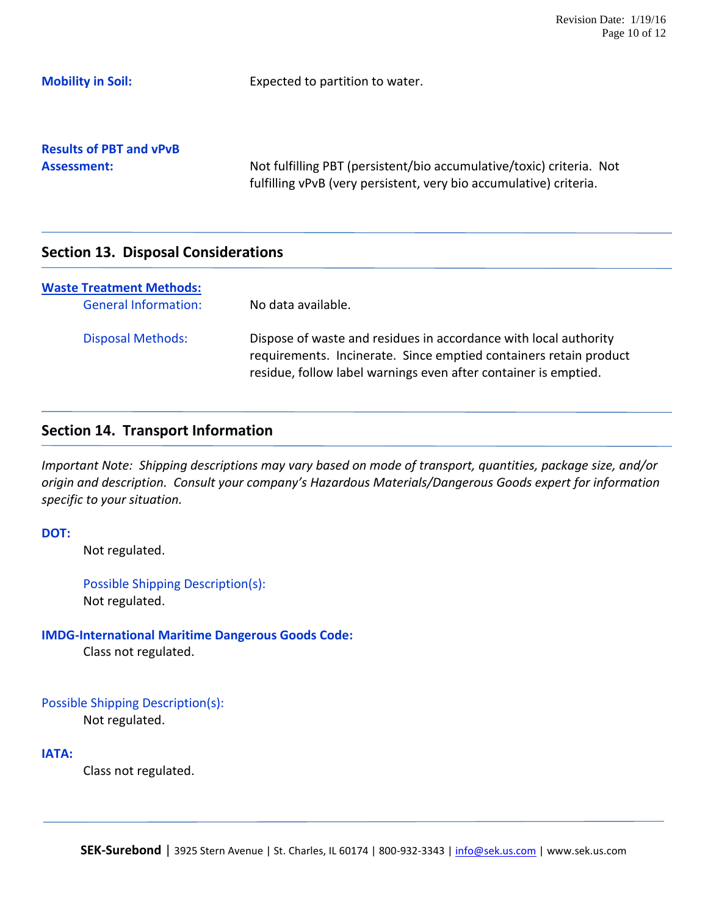**Mobility in Soil:** Expected to partition to water.

**Results of PBT and vPvB**

**Assessment:** Not fulfilling PBT (persistent/bio accumulative/toxic) criteria. Not fulfilling vPvB (very persistent, very bio accumulative) criteria.

### **Section 13. Disposal Considerations**

| <b>Waste Treatment Methods:</b><br><b>General Information:</b> | No data available.                                                                                                                                                                                       |
|----------------------------------------------------------------|----------------------------------------------------------------------------------------------------------------------------------------------------------------------------------------------------------|
| <b>Disposal Methods:</b>                                       | Dispose of waste and residues in accordance with local authority<br>requirements. Incinerate. Since emptied containers retain product<br>residue, follow label warnings even after container is emptied. |

### **Section 14. Transport Information**

*Important Note: Shipping descriptions may vary based on mode of transport, quantities, package size, and/or origin and description. Consult your company's Hazardous Materials/Dangerous Goods expert for information specific to your situation.*

### **DOT:**

Not regulated.

Possible Shipping Description(s): Not regulated.

### **IMDG-International Maritime Dangerous Goods Code:**

Class not regulated.

### Possible Shipping Description(s):

Not regulated.

### **IATA:**

Class not regulated.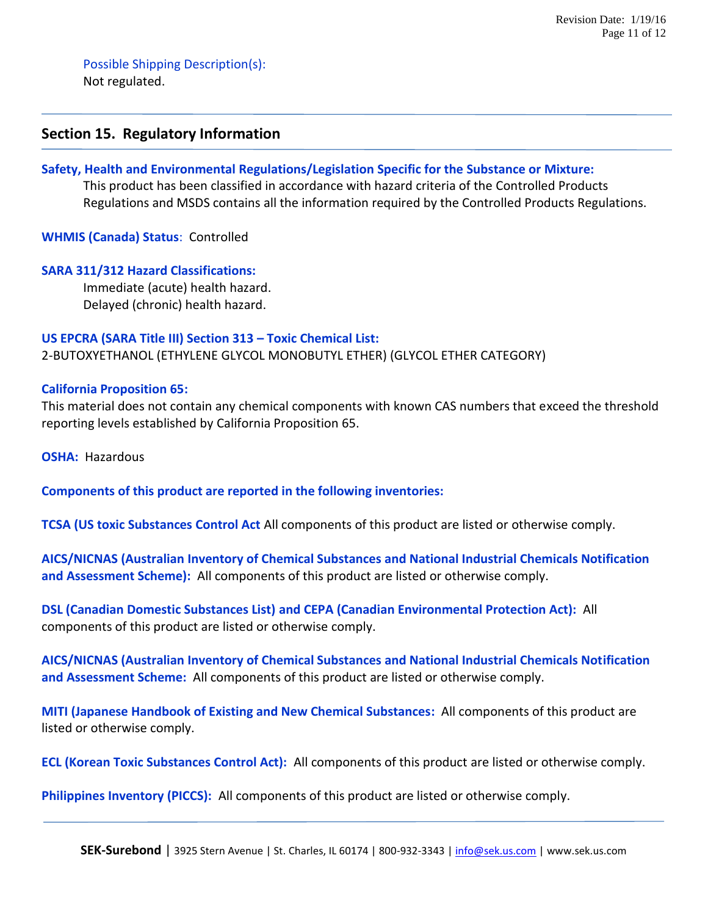Possible Shipping Description(s): Not regulated.

### **Section 15. Regulatory Information**

### **Safety, Health and Environmental Regulations/Legislation Specific for the Substance or Mixture:**

This product has been classified in accordance with hazard criteria of the Controlled Products Regulations and MSDS contains all the information required by the Controlled Products Regulations.

**WHMIS (Canada) Status**: Controlled

### **SARA 311/312 Hazard Classifications:**

 Immediate (acute) health hazard. Delayed (chronic) health hazard.

#### **US EPCRA (SARA Title III) Section 313 – Toxic Chemical List:**

2-BUTOXYETHANOL (ETHYLENE GLYCOL MONOBUTYL ETHER) (GLYCOL ETHER CATEGORY)

### **California Proposition 65:**

This material does not contain any chemical components with known CAS numbers that exceed the threshold reporting levels established by California Proposition 65.

**OSHA:** Hazardous

**Components of this product are reported in the following inventories:**

**TCSA (US toxic Substances Control Act** All components of this product are listed or otherwise comply.

**AICS/NICNAS (Australian Inventory of Chemical Substances and National Industrial Chemicals Notification and Assessment Scheme):** All components of this product are listed or otherwise comply.

**DSL (Canadian Domestic Substances List) and CEPA (Canadian Environmental Protection Act):** All components of this product are listed or otherwise comply.

**AICS/NICNAS (Australian Inventory of Chemical Substances and National Industrial Chemicals Notification and Assessment Scheme:** All components of this product are listed or otherwise comply.

**MITI (Japanese Handbook of Existing and New Chemical Substances:** All components of this product are listed or otherwise comply.

**ECL (Korean Toxic Substances Control Act):** All components of this product are listed or otherwise comply.

**Philippines Inventory (PICCS):** All components of this product are listed or otherwise comply.